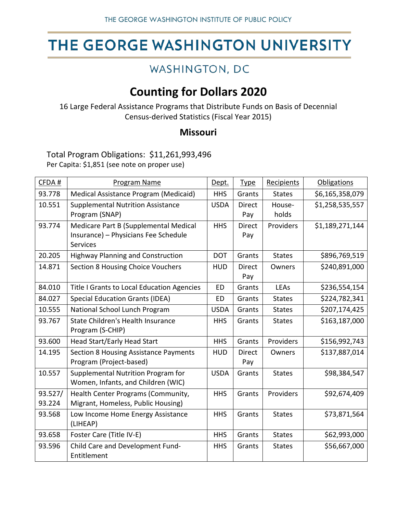# THE GEORGE WASHINGTON UNIVERSITY

### WASHINGTON, DC

## **Counting for Dollars 2020**

16 Large Federal Assistance Programs that Distribute Funds on Basis of Decennial Census-derived Statistics (Fiscal Year 2015)

### **Missouri**

Total Program Obligations: \$11,261,993,496 Per Capita: \$1,851 (see note on proper use)

| CFDA#   | Program Name                               | Dept.       | <b>Type</b>   | Recipients    | <b>Obligations</b> |
|---------|--------------------------------------------|-------------|---------------|---------------|--------------------|
| 93.778  | Medical Assistance Program (Medicaid)      | <b>HHS</b>  | Grants        | <b>States</b> | \$6,165,358,079    |
| 10.551  | <b>Supplemental Nutrition Assistance</b>   | <b>USDA</b> | <b>Direct</b> | House-        | \$1,258,535,557    |
|         | Program (SNAP)                             |             | Pay           | holds         |                    |
| 93.774  | Medicare Part B (Supplemental Medical      | <b>HHS</b>  | <b>Direct</b> | Providers     | \$1,189,271,144    |
|         | Insurance) - Physicians Fee Schedule       |             | Pay           |               |                    |
|         | <b>Services</b>                            |             |               |               |                    |
| 20.205  | <b>Highway Planning and Construction</b>   | <b>DOT</b>  | Grants        | <b>States</b> | \$896,769,519      |
| 14.871  | Section 8 Housing Choice Vouchers          | <b>HUD</b>  | <b>Direct</b> | Owners        | \$240,891,000      |
|         |                                            |             | Pay           |               |                    |
| 84.010  | Title I Grants to Local Education Agencies | <b>ED</b>   | Grants        | LEAs          | \$236,554,154      |
| 84.027  | <b>Special Education Grants (IDEA)</b>     | ED          | Grants        | <b>States</b> | \$224,782,341      |
| 10.555  | National School Lunch Program              | <b>USDA</b> | Grants        | <b>States</b> | \$207,174,425      |
| 93.767  | State Children's Health Insurance          | <b>HHS</b>  | Grants        | <b>States</b> | \$163,187,000      |
|         | Program (S-CHIP)                           |             |               |               |                    |
| 93.600  | <b>Head Start/Early Head Start</b>         | <b>HHS</b>  | Grants        | Providers     | \$156,992,743      |
| 14.195  | Section 8 Housing Assistance Payments      | <b>HUD</b>  | <b>Direct</b> | Owners        | \$137,887,014      |
|         | Program (Project-based)                    |             | Pay           |               |                    |
| 10.557  | Supplemental Nutrition Program for         | <b>USDA</b> | Grants        | <b>States</b> | \$98,384,547       |
|         | Women, Infants, and Children (WIC)         |             |               |               |                    |
| 93.527/ | Health Center Programs (Community,         | <b>HHS</b>  | Grants        | Providers     | \$92,674,409       |
| 93.224  | Migrant, Homeless, Public Housing)         |             |               |               |                    |
| 93.568  | Low Income Home Energy Assistance          | <b>HHS</b>  | Grants        | <b>States</b> | \$73,871,564       |
|         | (LIHEAP)                                   |             |               |               |                    |
| 93.658  | Foster Care (Title IV-E)                   | <b>HHS</b>  | Grants        | <b>States</b> | \$62,993,000       |
| 93.596  | Child Care and Development Fund-           | <b>HHS</b>  | Grants        | <b>States</b> | \$56,667,000       |
|         | Entitlement                                |             |               |               |                    |